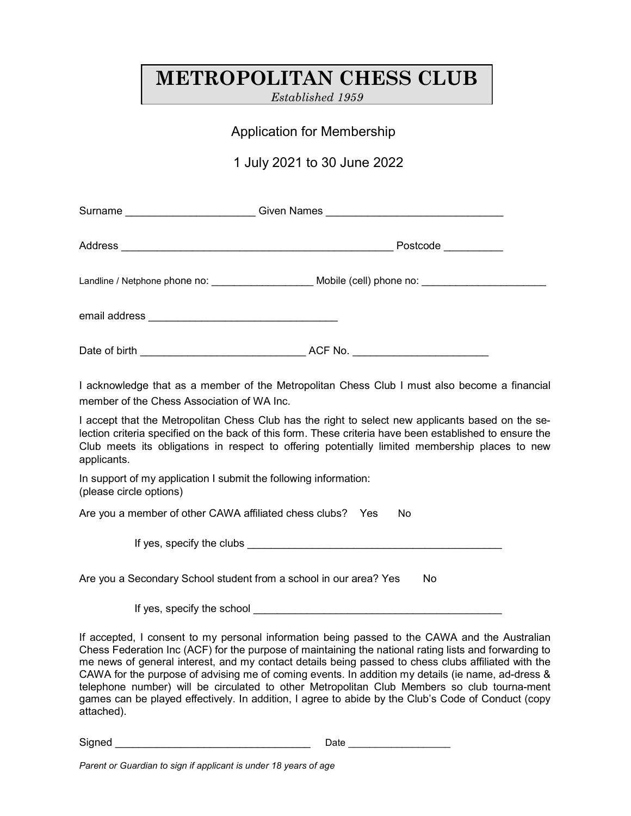# METROPOLITAN CHESS CLUB

Established 1959

## Application for Membership

## 1 July 2021 to 30 June 2022

| Surname ________________________ |          |
|----------------------------------|----------|
|                                  | Postcode |
|                                  |          |
|                                  |          |
| Date of birth                    | ACF No.  |

I acknowledge that as a member of the Metropolitan Chess Club I must also become a financial member of the Chess Association of WA Inc.

I accept that the Metropolitan Chess Club has the right to select new applicants based on the selection criteria specified on the back of this form. These criteria have been established to ensure the Club meets its obligations in respect to offering potentially limited membership places to new applicants.

In support of my application I submit the following information: (please circle options)

Are you a member of other CAWA affiliated chess clubs? Yes No

If yes, specify the clubs

Are you a Secondary School student from a school in our area? Yes No

If yes, specify the school example of the school of the school of the school of the school of the school of the school of the school of the school of the school of the school of the school of the school of the school of th

If accepted, I consent to my personal information being passed to the CAWA and the Australian Chess Federation Inc (ACF) for the purpose of maintaining the national rating lists and forwarding to me news of general interest, and my contact details being passed to chess clubs affiliated with the CAWA for the purpose of advising me of coming events. In addition my details (ie name, ad-dress & telephone number) will be circulated to other Metropolitan Club Members so club tourna-ment games can be played effectively. In addition, I agree to abide by the Club's Code of Conduct (copy attached).

Signed \_\_\_\_\_\_\_\_\_\_\_\_\_\_\_\_\_\_\_\_\_\_\_\_\_\_\_\_\_\_\_\_\_ Date \_\_\_\_\_\_\_\_\_\_\_\_\_\_\_\_\_\_\_

Parent or Guardian to sign if applicant is under 18 years of age